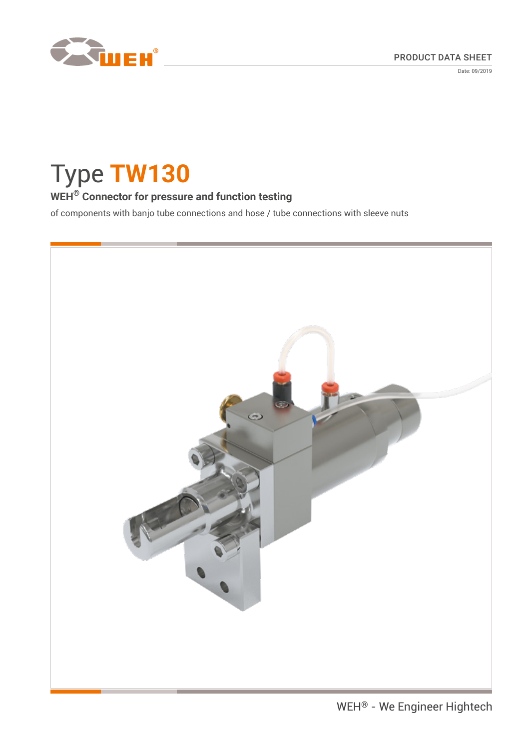

Date: 09/2019

# Type **TW130**

# **WEH® Connector for pressure and function testing**

of components with banjo tube connections and hose / tube connections with sleeve nuts

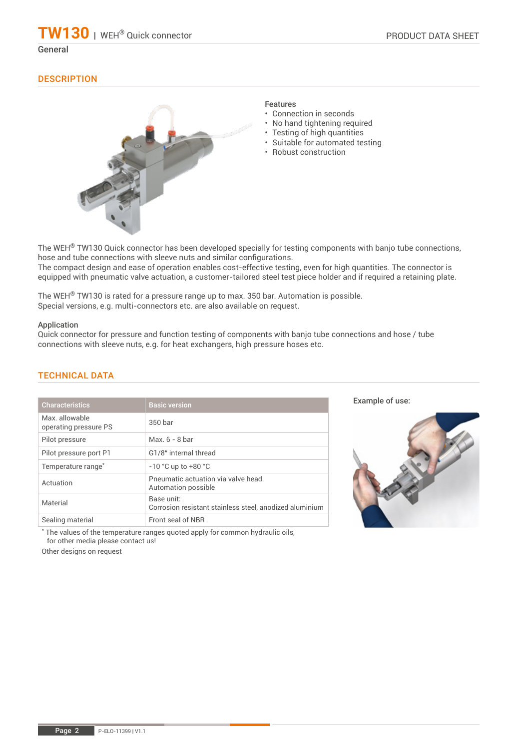# **DESCRIPTION**



# Features

- Connection in seconds
- No hand tightening required
- Testing of high quantities
- Suitable for automated testing
- Robust construction

The WEH<sup>®</sup> TW130 Quick connector has been developed specially for testing components with banjo tube connections, hose and tube connections with sleeve nuts and similar configurations. The compact design and ease of operation enables cost-effective testing, even for high quantities. The connector is equipped with pneumatic valve actuation, a customer-tailored steel test piece holder and if required a retaining plate.

The WEH® TW130 is rated for a pressure range up to max. 350 bar. Automation is possible. Special versions, e.g. multi-connectors etc. are also available on request.

#### Application

Quick connector for pressure and function testing of components with banjo tube connections and hose / tube connections with sleeve nuts, e.g. for heat exchangers, high pressure hoses etc.

| <b>Characteristics</b>                 | <b>Basic version</b>                                                  |
|----------------------------------------|-----------------------------------------------------------------------|
| Max allowable<br>operating pressure PS | 350 bar                                                               |
| Pilot pressure                         | Max $6 - 8$ har                                                       |
| Pilot pressure port P1                 | G1/8" internal thread                                                 |
| Temperature range <sup>*</sup>         | $-10$ °C up to $+80$ °C                                               |
| Actuation                              | Pneumatic actuation via valve head.<br>Automation possible            |
| Material                               | Base unit:<br>Corrosion resistant stainless steel, anodized aluminium |
| Sealing material                       | Front seal of NBR                                                     |

# TECHNICAL DATA

Example of use:



\* The values of the temperature ranges quoted apply for common hydraulic oils, for other media please contact us!

Other designs on request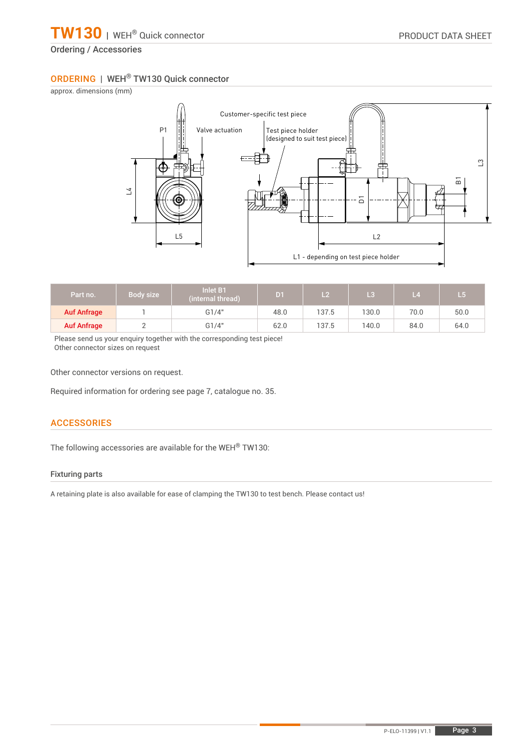# ORDERING | WEH® TW130 Quick connector

approx. dimensions (mm)



| Part no.           | Body size | <b>Inlet B1</b><br>(internal thread) | D <sub>1</sub> | L <sub>2</sub> | L3    | -4   | L 5  |
|--------------------|-----------|--------------------------------------|----------------|----------------|-------|------|------|
| <b>Auf Anfrage</b> |           | G1/4"                                | 48.0           | 137.5          | 130.0 | 70.0 | 50.0 |
| <b>Auf Anfrage</b> |           | G1/4"                                | 62.0           | 137.5          | 140.0 | 84.0 | 64.0 |

Please send us your enquiry together with the corresponding test piece! Other connector sizes on request

Other connector versions on request.

Required information for ordering see page 7, catalogue no. 35.

# **ACCESSORIES**

The following accessories are available for the WEH® TW130:

### Fixturing parts

A retaining plate is also available for ease of clamping the TW130 to test bench. Please contact us!